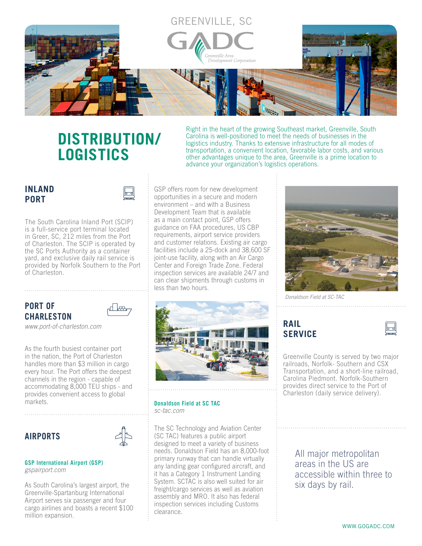

## **DISTRIBUTION/ LOGISTICS**

Right in the heart of the growing Southeast market, Greenville, South Carolina is well-positioned to meet the needs of businesses in the logistics industry. Thanks to extensive infrastructure for all modes of transportation, a convenient location, favorable labor costs, and various other advantages unique to the area, Greenville is a prime location to advance your organization's logistics operations.

## **INLAND PORT**



The South Carolina Inland Port (SCIP) is a full-service port terminal located in Greer, SC, 212 miles from the Port of Charleston. The SCIP is operated by the SC Ports Authority as a container yard, and exclusive daily rail service is provided by Norfolk Southern to the Port of Charleston.

### **PORT OF CHARLESTON**



*www.port-of-charleston.com*

As the fourth busiest container port in the nation, the Port of Charleston handles more than \$3 million in cargo every hour. The Port offers the deepest channels in the region - capable of accommodating 8,000 TEU ships - and provides convenient access to global markets.

## **AIRPORTS**



**GSP International Airport (GSP)**  *gspairport.com*

As South Carolina's largest airport, the Greenville-Spartanburg International Airport serves six passenger and four cargo airlines and boasts a recent \$100 million expansion.

GSP offers room for new development opportunities in a secure and modern environment – and with a Business Development Team that is available as a main contact point, GSP offers guidance on FAA procedures, US CBP requirements, airport service providers and customer relations. Existing air cargo facilities include a 25-dock and 38,600 SF joint-use facility, along with an Air Cargo Center and Foreign Trade Zone. Federal inspection services are available 24/7 and can clear shipments through customs in less than two hours.



**Donaldson Field at SC TAC**  *sc-tac.com* 

The SC Technology and Aviation Center (SC TAC) features a public airport designed to meet a variety of business needs. Donaldson Field has an 8,000-foot primary runway that can handle virtually any landing gear configured aircraft, and it has a Category 1 Instrument Landing System. SCTAC is also well suited for air freight/cargo services as well as aviation assembly and MRO. It also has federal inspection services including Customs clearance.



*Donaldson Field at SC-TAC*

**RAIL SERVICE**



Greenville County is served by two major railroads, Norfolk- Southern and CSX Transportation, and a short-line railroad, Carolina Piedmont. Norfolk-Southern provides direct service to the Port of Charleston (daily service delivery).

> All major metropolitan areas in the US are accessible within three to six days by rail.